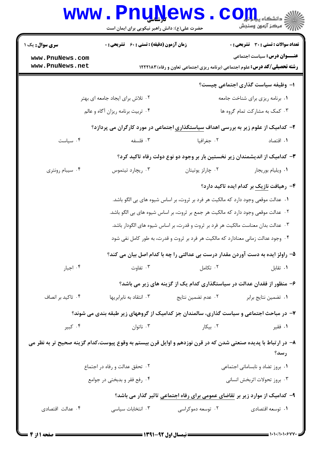## **www.PnuNews.com** الله آه مرکز آزمون وسنجش<br>الله آه مرکز آزمون وسنجش حضرت علی(ع): دانش راهبر نیکویی برای ایمان است **تعداد سوالات : تستي : 30 - تشريحي : 0 سری سوال :** یک ۱ **زمان آزمون (دقیقه) : تستی : 60 تشریحی : 0 عنـــوان درس:** سیاست اجتماعی www.PnuNews.com www.PnuNews.net **رشته تحصیلی/کد درس:** علوم اجتماعی (برنامه ریزی اجتماعی تعاون و رفاه) ۱۲۲۲۱۸۳ ۱– وظیفه سیاست گذاری اجتماعی چیست؟ ۲۰ تلاش برای ایجاد جامعه ای بهتر ۰۱ برنامه ریزی برای شناخت جامعه ۰۴ تربیت برنامه ریزان آگاه و عالم ۰۳ کمک به مشارکت تمام گروه ها ۲- کدامیک از علوم زیر به بررسی اهداف سیاستگذاری اجتماعی در مورد کارگران می پردازد؟ ۰۴ سیاست ۰۳ فلسفه ٠٢ جغرافيا ۰۱ اقتصاد ۳– کدامیک از اندیشمندان زیر نخستین بار بر وجود دو نوع دولت رفاه تاکید کرد؟

- ۰۴ سیبام رونتری ۰۲ چارلز پوتیتان ۰۳ ریچارد تیتموس ۰۱ ویلیام بوریجار
	- ۴- رهیافت نازیک بر کدام ایده تاکید دارد؟ ١. عدالت موقعي وجود دارد كه مالكيت هر فرد بر ثروت، بر اساس شيوه هاي بي الگو باشد.
	- ٢ . عدالت موقعي وجود دارد كه مالكيت هر جمع بر ثروت، بر اساس شيوه هاي بي الگو باشد.
	- ۰۳ عدالت بدان معناست مالكيت هر فرد بر ثروت و قدرت، بر اساس شيوه هاى الگودار باشد. ۰۴ وجود عدالت زمانی معنادارد که مالکیت هر فرد بر ثروت و قدرت، به طور کامل نفی شود \*
	- ۵– راولز ایده به دست آوردن مقدار درست بی عدالتی را چه با کدام اصل بیان می کند؟

- ۶– منظور از فقدان عدالت در سیاستگذاری کدام یک از گزینه های زیر می باشد؟
- ۰۴ تاکید بر انصاف ۰۳ انتقاد به نابرابریها ۰۲ عدم تضمین نتایج ۰۱ تضمین نتایج برابر

۷– در مباحث اجتماعی و سیاست گذاری، سالمندان جز کدامیک از گروههای زیر طبقه بندی می شوند؟

- ۰۴ کېير ۰۱ فقير ۰۲ بیکا, ۰۳ ناتوان $\cdot$
- ۸– در ارتباط با پدیده صنعتی شدن که در قرن نوزدهم و اوایل قرن بیستم به وقوع پیوست،کدام گزینه صحیح تر به نظر می رسد؟
	- ۰۲ تحقق عدالت و رفاه در اجتماع ۰۱ بروز تضاد و نابسامانی اجتماعی ۰۴ , فع فقر و بدبختی در جوامع ۰۳ بروز تحولات اثربخش انسانی
		- ۹- کدامیک از موارد زیر بر تقاضای عمومی برای رفاه اجتماعی تاثیر گذار می باشد؟
	- ۰۴ عدالت اقتصادی ۰۳ انتخابات سیاسی ۰۲ توسعه دموکراسی ۰۱ توسعه اقتصادی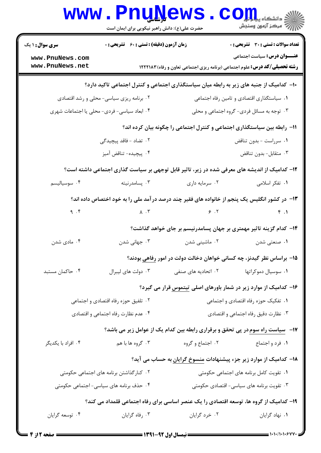| الاد دانشگاه پيام <mark>لو</mark> ل<br>الا مرکز آزمون وسنجش<br><b>تعداد سوالات : تستی : 30 ٪ تشریحی : 0</b><br><b>زمان آزمون (دقیقه) : تستی : 60 ٪ تشریحی : 0</b><br><b>سری سوال : ۱ یک</b><br><b>عنـــوان درس:</b> سیاست اجتماعی<br>www.PnuNews.com<br>www.PnuNews.net<br><b>رشته تحصیلی/کد درس:</b> علوم اجتماعی (برنامه ریزی اجتماعی تعاون و رفاه)1۲۲۲۱۸۳<br>۰۲ برنامه ریزی سیاسی- محلی و رشد اقتصادی<br>۰۱ سیاستگذاری اقتصادی و تامین رفاه اجتماعی<br>۰۳ توجه به مسائل فردی- گروه اجتماعی و محلی<br>۰۴ ابعاد سیاسی- فردی- محلی یا اجتماعات شهری |                                                                                         |  |  |  |  |  |
|-----------------------------------------------------------------------------------------------------------------------------------------------------------------------------------------------------------------------------------------------------------------------------------------------------------------------------------------------------------------------------------------------------------------------------------------------------------------------------------------------------------------------------------------------------|-----------------------------------------------------------------------------------------|--|--|--|--|--|
|                                                                                                                                                                                                                                                                                                                                                                                                                                                                                                                                                     |                                                                                         |  |  |  |  |  |
|                                                                                                                                                                                                                                                                                                                                                                                                                                                                                                                                                     |                                                                                         |  |  |  |  |  |
|                                                                                                                                                                                                                                                                                                                                                                                                                                                                                                                                                     | ۱۰− کدامیک از جنبه های زیر به رابطه میان سیاستگذاری اجتماعی و کنترل اجتماعی تاکید دارد؟ |  |  |  |  |  |
|                                                                                                                                                                                                                                                                                                                                                                                                                                                                                                                                                     |                                                                                         |  |  |  |  |  |
|                                                                                                                                                                                                                                                                                                                                                                                                                                                                                                                                                     |                                                                                         |  |  |  |  |  |
| ۱۱− رابطه بین سیاستگذاری اجتماعی و کنترل اجتماعی را چگونه بیان کرده اند؟                                                                                                                                                                                                                                                                                                                                                                                                                                                                            |                                                                                         |  |  |  |  |  |
| ۰۲ تضاد – فاقد پیچیدگ <i>ی</i><br>٠١ سرراست - بدون تناقض                                                                                                                                                                                                                                                                                                                                                                                                                                                                                            |                                                                                         |  |  |  |  |  |
| ۰۴ پیچیده- تناقض آمیز<br>۰۳ متقابل- بدون تناقض                                                                                                                                                                                                                                                                                                                                                                                                                                                                                                      |                                                                                         |  |  |  |  |  |
| ۱۲- کدامیک از اندیشه های معرفی شده در زیر، تاثیر قابل توجهی بر سیاست گذاری اجتماعی داشته است؟                                                                                                                                                                                                                                                                                                                                                                                                                                                       |                                                                                         |  |  |  |  |  |
| ۰۳ پسامدرنیته<br>۰۱ تفکر اسلامی<br>۰۴ سوسیالیسم<br>۰۲ سرمایه داری                                                                                                                                                                                                                                                                                                                                                                                                                                                                                   |                                                                                         |  |  |  |  |  |
| ۱۳- در کشور انگلیس یک پنجم از خانواده های فقیر چند درصد در آمد ملی را به خود اختصاص داده اند؟                                                                                                                                                                                                                                                                                                                                                                                                                                                       |                                                                                         |  |  |  |  |  |
| 9.7<br>$\epsilon$ . T<br>$\lambda$ . $\tau$                                                                                                                                                                                                                                                                                                                                                                                                                                                                                                         | f.1                                                                                     |  |  |  |  |  |
| ۱۴– کدام گزینه تاثیر مهمتری بر جهان پسامدرنیسم بر جای خواهد گذاشت؟                                                                                                                                                                                                                                                                                                                                                                                                                                                                                  |                                                                                         |  |  |  |  |  |
| ۰۴ مادی شدن<br>۰۳ جهانی شدن<br>۰۲ ماشینی شدن<br>۰۱ صنعتی شدن                                                                                                                                                                                                                                                                                                                                                                                                                                                                                        |                                                                                         |  |  |  |  |  |
| ۱۵– براساس نظر گیدنز، چه کسانی خواهان دخالت دولت در امور رفاهی بودند؟                                                                                                                                                                                                                                                                                                                                                                                                                                                                               |                                                                                         |  |  |  |  |  |
| ۲. اتحادیه های صنفی<br>۰۴ حاکمان مستبد<br>۰۳ دولت های لیبرال<br>۰۱ سوسیال دموکراتها                                                                                                                                                                                                                                                                                                                                                                                                                                                                 |                                                                                         |  |  |  |  |  |
| ۱۶– کدامیک از موارد زیر در شمار باورهای اصلی تیتموس قرار می گیرد؟                                                                                                                                                                                                                                                                                                                                                                                                                                                                                   |                                                                                         |  |  |  |  |  |
| ۰۱ تفکیک حوزه رفاه اقتصادی و اجتماعی<br>۰۲ تلفیق حوزه رفاه اقتصادی و اجتماعی                                                                                                                                                                                                                                                                                                                                                                                                                                                                        |                                                                                         |  |  |  |  |  |
| ۰۴ عدم نظارت رفاه اجتماعي و اقتصادي<br>۰۳ نظارت دقیق رفاه اجتماعی و اقتصادی                                                                                                                                                                                                                                                                                                                                                                                                                                                                         |                                                                                         |  |  |  |  |  |
| <b>۱۷</b> - سیاست راه سوم در پی تحقق و برقراری رابطه بین کدام یک از عوامل زیر می باشد؟                                                                                                                                                                                                                                                                                                                                                                                                                                                              |                                                                                         |  |  |  |  |  |
| ۰۲ اجتماع و گروه ها با هم<br>۰۱ فرد و اجتماع<br>۰۴ افراد با یکدیگر                                                                                                                                                                                                                                                                                                                                                                                                                                                                                  |                                                                                         |  |  |  |  |  |
| ۱۸– کدامیک از موارد زیر جزء پیشنهادات <u>منسوخ گرایان</u> به حساب می آید؟                                                                                                                                                                                                                                                                                                                                                                                                                                                                           |                                                                                         |  |  |  |  |  |
| ۰۱ تقویت کامل برنامه های اجتماعی حکومتی<br>۰۲ کنار گذاشتن برنامه های اجتماعی حکومتی                                                                                                                                                                                                                                                                                                                                                                                                                                                                 |                                                                                         |  |  |  |  |  |
| ۰۳ تقویت برنامه های سیاسی- اقتصادی حکومتی<br>۰۴ حذف برنامه های سیاسی- اجتماعی حکومتی                                                                                                                                                                                                                                                                                                                                                                                                                                                                |                                                                                         |  |  |  |  |  |
| ۱۹- کدامیک از گروه ها، توسعه اقتصادی را یک عنصر اساسی برای رفاه اجتماعی قلمداد می کند؟                                                                                                                                                                                                                                                                                                                                                                                                                                                              |                                                                                         |  |  |  |  |  |
| ۰۳ رفاه گرایان<br>۰۲ خرد گرایان<br>۰۴ توسعه گرايان<br>۰۱ نهاد گرایان                                                                                                                                                                                                                                                                                                                                                                                                                                                                                |                                                                                         |  |  |  |  |  |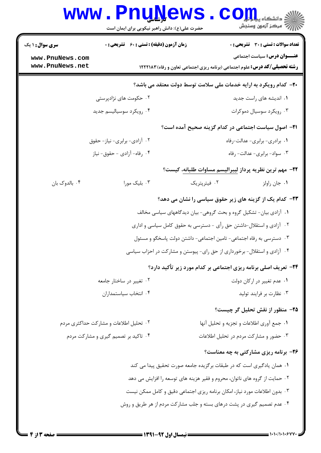| <b>سری سوال : ۱ یک</b> | زمان آزمون (دقیقه) : تستی : 60 ٪ تشریحی : 0 | <b>تعداد سوالات : تستی : 30 ٪ تشریحی : 0</b>                                       |
|------------------------|---------------------------------------------|------------------------------------------------------------------------------------|
| www.PnuNews.com        |                                             | <b>عنـــوان درس:</b> سیاست اجتماعی                                                 |
| www.PnuNews.net        |                                             | <b>رشته تحصیلی/کد درس:</b> علوم اجتماعی (برنامه ریزی اجتماعی تعاون و رفاه) ۱۲۲۲۱۸۳ |
|                        |                                             | ۲۰– کدام رویکرد به ارایه خدمات ملی سلامت توسط دولت معتقد می باشد؟                  |
|                        | ۰۲ حکومت های نژادپرستی                      | ۰۱ اندیشه های راست جدید                                                            |
|                        | ۰۴ رویکرد سوسیالیسم جدید                    | ۰۳ رویکرد سوسیال دموکرات                                                           |
|                        |                                             | <b>۲۱</b> – اصول سیاست اجتماعی در کدام گزینه صحیح آمده است؟                        |
|                        | ۰۲ آزادی- برابری- نیاز- حقوق                | ۰۱ برادری- برابری- عدالت-رفاه                                                      |
|                        | ۰۴ رفاه- آزادي - حقوق- نياز                 | ۰۳ سواد- برابری- عدالت- رفاه                                                       |
|                        |                                             | ٢٢- مهم ترين نظريه پرداز ليبراليسم مساوات طلبانه، كيست؟                            |
| ۰۴ بالدوک بان          | ۰۳ بلیک مورا                                | ۰۲ فیترپتریک<br>٠١. جان راولز                                                      |
|                        |                                             | ۲۳- کدام یک از گزینه های زیر حقوق سیاسی را نشان می دهد؟                            |
|                        |                                             | ۰۱ آزادی بیان- تشکیل گروه و بحث گروهی- بیان دیدگاههای سیاسی مخالف                  |
|                        |                                             | ۰۲ آزادی و استقلال-داشتن حق رأی - دسترسی به حقوق کامل سیاسی و اداری                |
|                        |                                             | ۰۳ دسترسی به رفاه اجتماعی- تامین اجتماعی- داشتن دولت پاسخگو و مسئول                |
|                        |                                             | ۰۴ آزادی و استقلال- برخورداری از حق رای- پیوستن و مشارکت در احزاب سیاسی            |
|                        |                                             | <b>۲۴</b> - تعریف اصلی برنامه ریزی اجتماعی بر کدام مورد زیر تأکید دارد؟            |
|                        | ۰۲ تغییر در ساختار جامعه                    | ۰۱ عدم تغییر در ارکان دولت                                                         |
|                        | ۰۴ انتخاب سياستمداران                       | ۰۳ نظارت بر فرايند توليد                                                           |
|                        |                                             | ۲۵– منظور از نقش تحلیل گر چیست؟                                                    |
|                        | ۰۲ تحلیل اطلاعات و مشارکت حداکثری مردم      | ٠١ جمع أورى اطلاعات و تجزيه و تحليل أنها                                           |
|                        | ۰۴ تاکید بر تصمیم گیری و مشارکت مردم        | ۰۳ حضور و مشاركت مردم در تحليل اطلاعات                                             |
|                        |                                             | ۲۶- برنامه ریزی مشارکتی به چه معناست؟                                              |
|                        |                                             | ۰۱ همان یادگیری است که در طبقات برگزیده جامعه صورت تحقیق پیدا می کند               |
|                        |                                             | ۰۲ حمایت از گروه های ناتوان، محروم و فقیر هزینه های توسعه را افزایش می دهد         |
|                        |                                             | ۰۳ بدون اطلاعات مورد نیاز، امکان برنامه ریزی اجتماعی دقیق و کامل ممکن نیست         |
|                        |                                             | ۰۴ عدم تصمیم گیری در پشت درهای بسته و جلب مشارکت مردم از هر طریق و روش             |
|                        |                                             |                                                                                    |